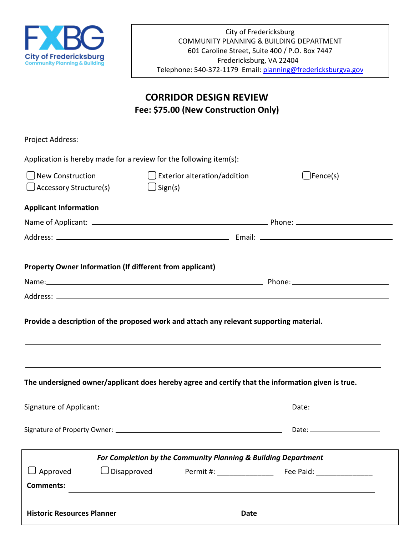

## **CORRIDOR DESIGN REVIEW Fee: \$75.00 (New Construction Only)**

| Application is hereby made for a review for the following item(s):                                |                   |                                                                |      |                                                                                                                        |
|---------------------------------------------------------------------------------------------------|-------------------|----------------------------------------------------------------|------|------------------------------------------------------------------------------------------------------------------------|
| New Construction<br>$\bigcup$ Accessory Structure(s)                                              | $\bigcup$ Sign(s) | $\Box$ Exterior alteration/addition                            |      | □Fence(s)                                                                                                              |
| <b>Applicant Information</b>                                                                      |                   |                                                                |      |                                                                                                                        |
|                                                                                                   |                   |                                                                |      |                                                                                                                        |
|                                                                                                   |                   |                                                                |      |                                                                                                                        |
|                                                                                                   |                   |                                                                |      |                                                                                                                        |
| <b>Property Owner Information (If different from applicant)</b>                                   |                   |                                                                |      |                                                                                                                        |
|                                                                                                   |                   |                                                                |      |                                                                                                                        |
|                                                                                                   |                   |                                                                |      |                                                                                                                        |
| Provide a description of the proposed work and attach any relevant supporting material.           |                   |                                                                |      | <u> 1989 - Andrea Santana, amerikana amerikana amerikana amerikana amerikana amerikana amerikana amerikana amerika</u> |
| The undersigned owner/applicant does hereby agree and certify that the information given is true. |                   |                                                                |      |                                                                                                                        |
|                                                                                                   |                   |                                                                |      |                                                                                                                        |
|                                                                                                   |                   |                                                                |      | Date: __________________                                                                                               |
|                                                                                                   |                   | For Completion by the Community Planning & Building Department |      |                                                                                                                        |
| J Approved                                                                                        | Disapproved       |                                                                |      |                                                                                                                        |
| <b>Comments:</b>                                                                                  |                   |                                                                |      |                                                                                                                        |
|                                                                                                   |                   |                                                                |      |                                                                                                                        |
| <b>Historic Resources Planner</b>                                                                 |                   |                                                                | Date |                                                                                                                        |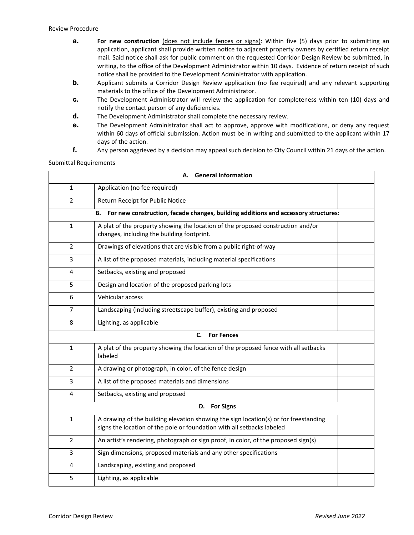- **a. For new construction** (does not include fences or signs): Within five (5) days prior to submitting an application, applicant shall provide written notice to adjacent property owners by certified return receipt mail. Said notice shall ask for public comment on the requested Corridor Design Review be submitted, in writing, to the office of the Development Administrator within 10 days. Evidence of return receipt of such notice shall be provided to the Development Administrator with application.
- **b.** Applicant submits a Corridor Design Review application (no fee required) and any relevant supporting materials to the office of the Development Administrator.
- c. The Development Administrator will review the application for completeness within ten (10) days and notify the contact person of any deficiencies.
- d. The Development Administrator shall complete the necessary review.
- e. The Development Administrator shall act to approve, approve with modifications, or deny any request within 60 days of official submission. Action must be in writing and submitted to the applicant within 17 days of the action.
- f. Any person aggrieved by a decision may appeal such decision to City Council within 21 days of the action.

Submittal Requirements

| <b>General Information</b><br>А. |                                                                                                                                                                |  |  |  |
|----------------------------------|----------------------------------------------------------------------------------------------------------------------------------------------------------------|--|--|--|
| $\mathbf{1}$                     | Application (no fee required)                                                                                                                                  |  |  |  |
| $\overline{2}$                   | Return Receipt for Public Notice                                                                                                                               |  |  |  |
|                                  | For new construction, facade changes, building additions and accessory structures:<br>В.                                                                       |  |  |  |
| $\mathbf{1}$                     | A plat of the property showing the location of the proposed construction and/or<br>changes, including the building footprint.                                  |  |  |  |
| $\overline{2}$                   | Drawings of elevations that are visible from a public right-of-way                                                                                             |  |  |  |
| 3                                | A list of the proposed materials, including material specifications                                                                                            |  |  |  |
| 4                                | Setbacks, existing and proposed                                                                                                                                |  |  |  |
| 5                                | Design and location of the proposed parking lots                                                                                                               |  |  |  |
| 6                                | Vehicular access                                                                                                                                               |  |  |  |
| 7                                | Landscaping (including streetscape buffer), existing and proposed                                                                                              |  |  |  |
| 8                                | Lighting, as applicable                                                                                                                                        |  |  |  |
| C.<br><b>For Fences</b>          |                                                                                                                                                                |  |  |  |
| $\mathbf{1}$                     | A plat of the property showing the location of the proposed fence with all setbacks<br>labeled                                                                 |  |  |  |
| 2                                | A drawing or photograph, in color, of the fence design                                                                                                         |  |  |  |
| 3                                | A list of the proposed materials and dimensions                                                                                                                |  |  |  |
| 4                                | Setbacks, existing and proposed                                                                                                                                |  |  |  |
| <b>For Signs</b><br>D.           |                                                                                                                                                                |  |  |  |
| $\mathbf{1}$                     | A drawing of the building elevation showing the sign location(s) or for freestanding<br>signs the location of the pole or foundation with all setbacks labeled |  |  |  |
| $\overline{2}$                   | An artist's rendering, photograph or sign proof, in color, of the proposed sign(s)                                                                             |  |  |  |
| 3                                | Sign dimensions, proposed materials and any other specifications                                                                                               |  |  |  |
| 4                                | Landscaping, existing and proposed                                                                                                                             |  |  |  |
| 5                                | Lighting, as applicable                                                                                                                                        |  |  |  |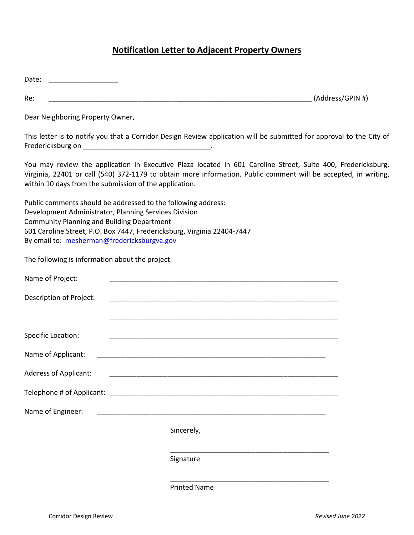# **Notification Letter to Adjacent Property Owners**

| Date:                                                                                            |                                                                                                                                                                                                                                                                                           |                  |
|--------------------------------------------------------------------------------------------------|-------------------------------------------------------------------------------------------------------------------------------------------------------------------------------------------------------------------------------------------------------------------------------------------|------------------|
| Re:                                                                                              |                                                                                                                                                                                                                                                                                           | (Address/GPIN #) |
| Dear Neighboring Property Owner,                                                                 |                                                                                                                                                                                                                                                                                           |                  |
|                                                                                                  | This letter is to notify you that a Corridor Design Review application will be submitted for approval to the City of                                                                                                                                                                      |                  |
|                                                                                                  | You may review the application in Executive Plaza located in 601 Caroline Street, Suite 400, Fredericksburg,<br>Virginia, 22401 or call (540) 372-1179 to obtain more information. Public comment will be accepted, in writing,<br>within 10 days from the submission of the application. |                  |
| <b>Community Planning and Building Department</b><br>By email to: mesherman@fredericksburgva.gov | Public comments should be addressed to the following address:<br>Development Administrator, Planning Services Division<br>601 Caroline Street, P.O. Box 7447, Fredericksburg, Virginia 22404-7447                                                                                         |                  |
| The following is information about the project:                                                  |                                                                                                                                                                                                                                                                                           |                  |
| Name of Project:                                                                                 |                                                                                                                                                                                                                                                                                           |                  |
| Description of Project:                                                                          |                                                                                                                                                                                                                                                                                           |                  |
|                                                                                                  |                                                                                                                                                                                                                                                                                           |                  |
| <b>Specific Location:</b>                                                                        |                                                                                                                                                                                                                                                                                           |                  |
| Name of Applicant:                                                                               |                                                                                                                                                                                                                                                                                           |                  |
| <b>Address of Applicant:</b>                                                                     |                                                                                                                                                                                                                                                                                           |                  |
|                                                                                                  |                                                                                                                                                                                                                                                                                           |                  |
| Name of Engineer:                                                                                |                                                                                                                                                                                                                                                                                           |                  |
|                                                                                                  | Sincerely,                                                                                                                                                                                                                                                                                |                  |
|                                                                                                  | Signature                                                                                                                                                                                                                                                                                 |                  |
|                                                                                                  | <b>Printed Name</b>                                                                                                                                                                                                                                                                       |                  |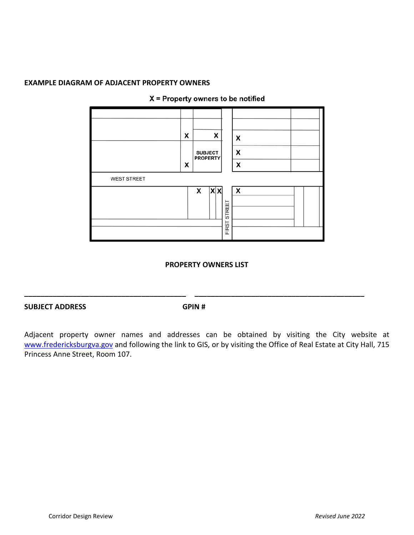## **EXAMPLE DIAGRAM OF ADJACENT PROPERTY OWNERS**



#### $X =$  Property owners to be notified

#### **PROPERTY OWNERS LIST**

#### **SUBJECT ADDRESS GPIN #**

**\_\_\_\_\_\_\_\_\_\_\_\_\_\_\_\_\_\_\_\_\_\_\_\_\_\_\_\_\_\_\_\_\_\_\_\_\_\_\_\_ \_\_\_\_\_\_\_\_\_\_\_\_\_\_\_\_\_\_\_\_\_\_\_\_\_\_\_\_\_\_\_\_\_\_\_\_\_\_\_\_\_\_**

Adjacent property owner names and addresses can be obtained by visiting the City website at [www.fredericksburgva.gov](http://www.fredericksburgva.gov/) and following the link to GIS, or by visiting the Office of Real Estate at City Hall, 715 Princess Anne Street, Room 107.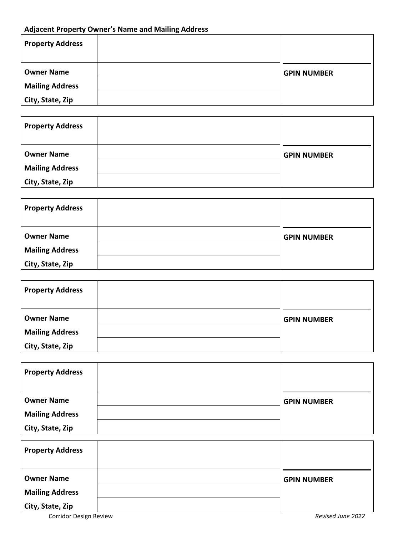## **Adjacent Property Owner's Name and Mailing Address**

| <b>Property Address</b> |                    |
|-------------------------|--------------------|
| <b>Owner Name</b>       | <b>GPIN NUMBER</b> |
| <b>Mailing Address</b>  |                    |
| City, State, Zip        |                    |

| <b>Property Address</b> |                    |
|-------------------------|--------------------|
| <b>Owner Name</b>       | <b>GPIN NUMBER</b> |
| <b>Mailing Address</b>  |                    |
| City, State, Zip        |                    |

| <b>Property Address</b> |                    |
|-------------------------|--------------------|
| <b>Owner Name</b>       | <b>GPIN NUMBER</b> |
| <b>Mailing Address</b>  |                    |
| City, State, Zip        |                    |

| <b>Property Address</b> |                    |
|-------------------------|--------------------|
| <b>Owner Name</b>       | <b>GPIN NUMBER</b> |
| <b>Mailing Address</b>  |                    |
| City, State, Zip        |                    |

| <b>Property Address</b> |                    |
|-------------------------|--------------------|
| <b>Owner Name</b>       | <b>GPIN NUMBER</b> |
| <b>Mailing Address</b>  |                    |
| City, State, Zip        |                    |

| <b>Property Address</b> |                    |
|-------------------------|--------------------|
| <b>Owner Name</b>       | <b>GPIN NUMBER</b> |
| <b>Mailing Address</b>  |                    |
| City, State, Zip        |                    |

Corridor Design Review *Revised June 2022*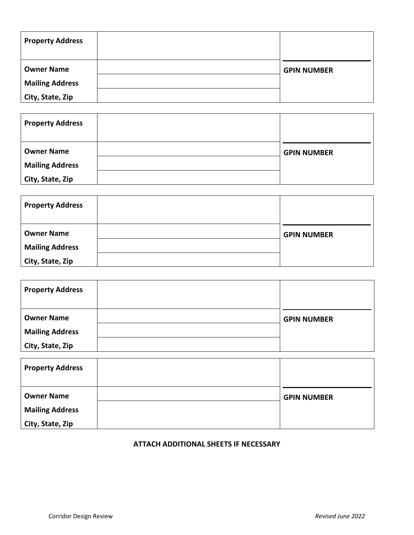| <b>Property Address</b> |                    |
|-------------------------|--------------------|
| <b>Owner Name</b>       | <b>GPIN NUMBER</b> |
| <b>Mailing Address</b>  |                    |
| City, State, Zip        |                    |

| <b>Property Address</b> |                    |
|-------------------------|--------------------|
| <b>Owner Name</b>       | <b>GPIN NUMBER</b> |
| <b>Mailing Address</b>  |                    |
| City, State, Zip        |                    |

| <b>Property Address</b> |                    |
|-------------------------|--------------------|
| <b>Owner Name</b>       | <b>GPIN NUMBER</b> |
| <b>Mailing Address</b>  |                    |
| City, State, Zip        |                    |

| <b>Property Address</b> |                    |
|-------------------------|--------------------|
| <b>Owner Name</b>       | <b>GPIN NUMBER</b> |
| <b>Mailing Address</b>  |                    |
| City, State, Zip        |                    |

| <b>Property Address</b> |                    |
|-------------------------|--------------------|
| <b>Owner Name</b>       | <b>GPIN NUMBER</b> |
| <b>Mailing Address</b>  |                    |
| City, State, Zip        |                    |

### **ATTACH ADDITIONAL SHEETS IF NECESSARY**